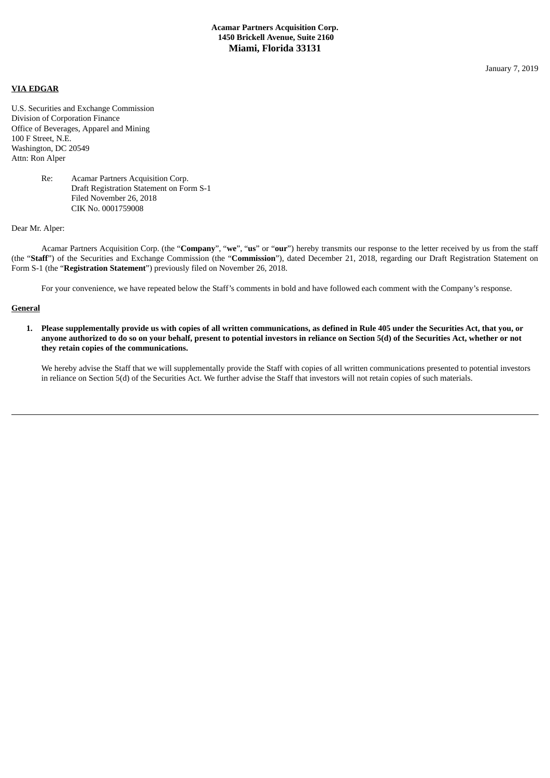**VIA EDGAR**

U.S. Securities and Exchange Commission Division of Corporation Finance Office of Beverages, Apparel and Mining 100 F Street, N.E. Washington, DC 20549 Attn: Ron Alper

# Re: Acamar Partners Acquisition Corp. Draft Registration Statement on Form S-1 Filed November 26, 2018 CIK No. 0001759008

#### Dear Mr. Alper:

Acamar Partners Acquisition Corp. (the "**Company**", "**we**", "**us**" or "**our**") hereby transmits our response to the letter received by us from the staff (the "**Staff**") of the Securities and Exchange Commission (the "**Commission**"), dated December 21, 2018, regarding our Draft Registration Statement on Form S-1 (the "**Registration Statement**") previously filed on November 26, 2018.

For your convenience, we have repeated below the Staff's comments in bold and have followed each comment with the Company's response.

## **General**

1. Please supplementally provide us with copies of all written communications, as defined in Rule 405 under the Securities Act, that you, or anyone authorized to do so on your behalf, present to potential investors in reliance on Section 5(d) of the Securities Act, whether or not **they retain copies of the communications.**

We hereby advise the Staff that we will supplementally provide the Staff with copies of all written communications presented to potential investors in reliance on Section 5(d) of the Securities Act. We further advise the Staff that investors will not retain copies of such materials.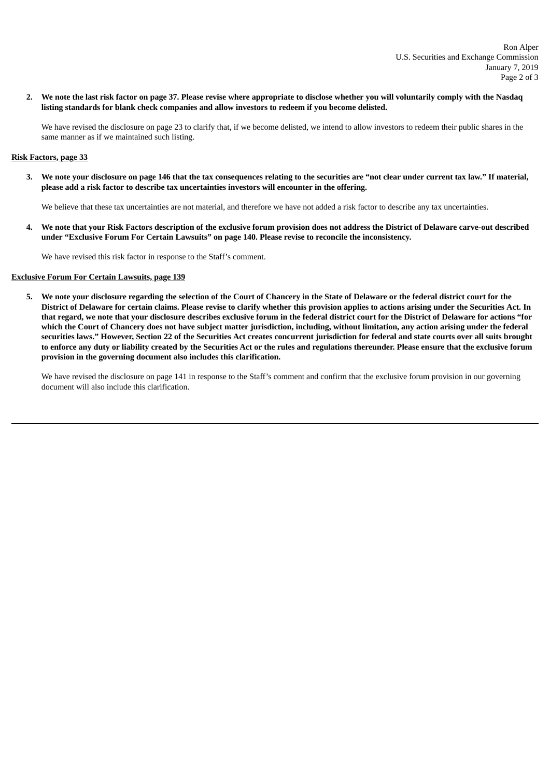2. We note the last risk factor on page 37. Please revise where appropriate to disclose whether you will voluntarily comply with the Nasdaq **listing standards for blank check companies and allow investors to redeem if you become delisted.**

We have revised the disclosure on page 23 to clarify that, if we become delisted, we intend to allow investors to redeem their public shares in the same manner as if we maintained such listing.

### **Risk Factors, page 33**

3. We note your disclosure on page 146 that the tax consequences relating to the securities are "not clear under current tax law." If material, **please add a risk factor to describe tax uncertainties investors will encounter in the offering.**

We believe that these tax uncertainties are not material, and therefore we have not added a risk factor to describe any tax uncertainties.

4. We note that your Risk Factors description of the exclusive forum provision does not address the District of Delaware carve-out described **under "Exclusive Forum For Certain Lawsuits" on page 140. Please revise to reconcile the inconsistency.**

We have revised this risk factor in response to the Staff's comment.

## **Exclusive Forum For Certain Lawsuits, page 139**

5. We note your disclosure regarding the selection of the Court of Chancery in the State of Delaware or the federal district court for the District of Delaware for certain claims. Please revise to clarify whether this provision applies to actions arising under the Securities Act. In that regard, we note that your disclosure describes exclusive forum in the federal district court for the District of Delaware for actions "for which the Court of Chancery does not have subject matter jurisdiction, including, without limitation, any action arising under the federal securities laws." However, Section 22 of the Securities Act creates concurrent jurisdiction for federal and state courts over all suits brought to enforce any duty or liability created by the Securities Act or the rules and regulations thereunder. Please ensure that the exclusive forum **provision in the governing document also includes this clarification.**

We have revised the disclosure on page 141 in response to the Staff's comment and confirm that the exclusive forum provision in our governing document will also include this clarification.